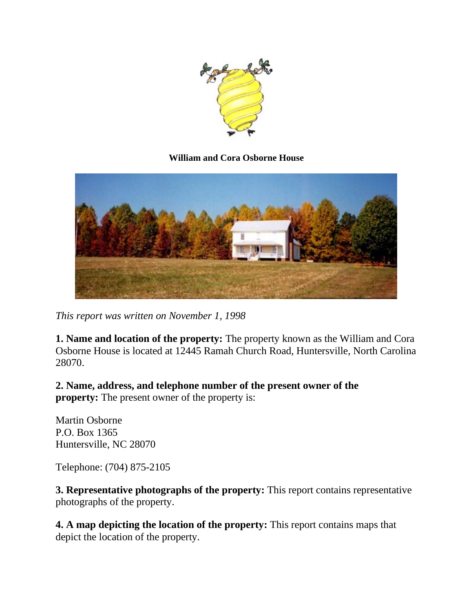

### **William and Cora Osborne House**



*This report was written on November 1, 1998*

**1. Name and location of the property:** The property known as the William and Cora Osborne House is located at 12445 Ramah Church Road, Huntersville, North Carolina 28070.

**2. Name, address, and telephone number of the present owner of the property:** The present owner of the property is:

Martin Osborne P.O. Box 1365 Huntersville, NC 28070

Telephone: (704) 875-2105

**3. Representative photographs of the property:** This report contains representative photographs of the property.

**4. A map depicting the location of the property:** This report contains maps that depict the location of the property.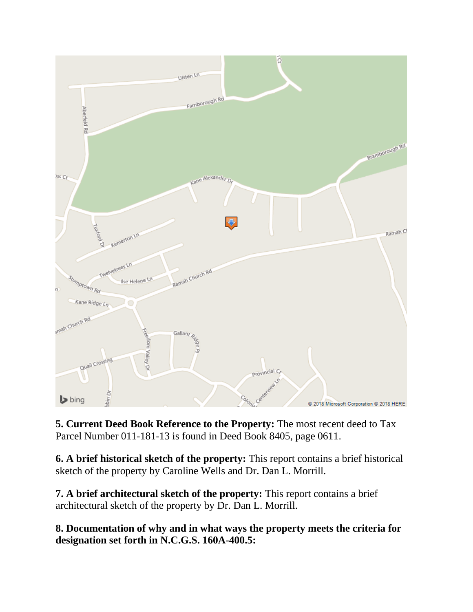

**5. Current Deed Book Reference to the Property:** The most recent deed to Tax Parcel Number 011-181-13 is found in Deed Book 8405, page 0611.

**6. A brief historical sketch of the property:** This report contains a brief historical sketch of the property by Caroline Wells and Dr. Dan L. Morrill.

**7. A brief architectural sketch of the property:** This report contains a brief architectural sketch of the property by Dr. Dan L. Morrill.

**8. Documentation of why and in what ways the property meets the criteria for designation set forth in N.C.G.S. 160A-400.5:**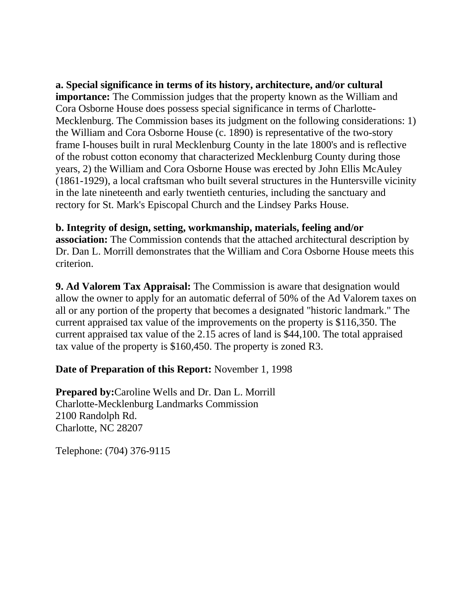**a. Special significance in terms of its history, architecture, and/or cultural importance:** The Commission judges that the property known as the William and Cora Osborne House does possess special significance in terms of Charlotte-Mecklenburg. The Commission bases its judgment on the following considerations: 1) the William and Cora Osborne House (c. 1890) is representative of the two-story frame I-houses built in rural Mecklenburg County in the late 1800's and is reflective of the robust cotton economy that characterized Mecklenburg County during those years, 2) the William and Cora Osborne House was erected by John Ellis McAuley (1861-1929), a local craftsman who built several structures in the Huntersville vicinity in the late nineteenth and early twentieth centuries, including the sanctuary and rectory for St. Mark's Episcopal Church and the Lindsey Parks House.

### **b. Integrity of design, setting, workmanship, materials, feeling and/or**

**association:** The Commission contends that the attached architectural description by Dr. Dan L. Morrill demonstrates that the William and Cora Osborne House meets this criterion.

**9. Ad Valorem Tax Appraisal:** The Commission is aware that designation would allow the owner to apply for an automatic deferral of 50% of the Ad Valorem taxes on all or any portion of the property that becomes a designated "historic landmark." The current appraised tax value of the improvements on the property is \$116,350. The current appraised tax value of the 2.15 acres of land is \$44,100. The total appraised tax value of the property is \$160,450. The property is zoned R3.

### **Date of Preparation of this Report:** November 1, 1998

**Prepared by:**Caroline Wells and Dr. Dan L. Morrill Charlotte-Mecklenburg Landmarks Commission 2100 Randolph Rd. Charlotte, NC 28207

Telephone: (704) 376-9115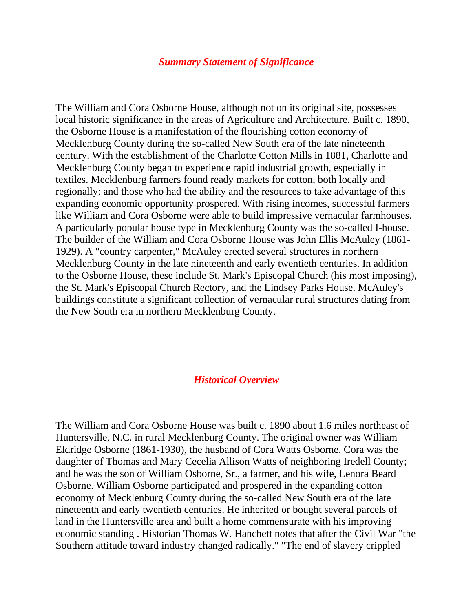#### *Summary Statement of Significance*

The William and Cora Osborne House, although not on its original site, possesses local historic significance in the areas of Agriculture and Architecture. Built c. 1890, the Osborne House is a manifestation of the flourishing cotton economy of Mecklenburg County during the so-called New South era of the late nineteenth century. With the establishment of the Charlotte Cotton Mills in 1881, Charlotte and Mecklenburg County began to experience rapid industrial growth, especially in textiles. Mecklenburg farmers found ready markets for cotton, both locally and regionally; and those who had the ability and the resources to take advantage of this expanding economic opportunity prospered. With rising incomes, successful farmers like William and Cora Osborne were able to build impressive vernacular farmhouses. A particularly popular house type in Mecklenburg County was the so-called I-house. The builder of the William and Cora Osborne House was John Ellis McAuley (1861- 1929). A "country carpenter," McAuley erected several structures in northern Mecklenburg County in the late nineteenth and early twentieth centuries. In addition to the Osborne House, these include St. Mark's Episcopal Church (his most imposing), the St. Mark's Episcopal Church Rectory, and the Lindsey Parks House. McAuley's buildings constitute a significant collection of vernacular rural structures dating from the New South era in northern Mecklenburg County.

### *Historical Overview*

The William and Cora Osborne House was built c. 1890 about 1.6 miles northeast of Huntersville, N.C. in rural Mecklenburg County. The original owner was William Eldridge Osborne (1861-1930), the husband of Cora Watts Osborne. Cora was the daughter of Thomas and Mary Cecelia Allison Watts of neighboring Iredell County; and he was the son of William Osborne, Sr., a farmer, and his wife, Lenora Beard Osborne. William Osborne participated and prospered in the expanding cotton economy of Mecklenburg County during the so-called New South era of the late nineteenth and early twentieth centuries. He inherited or bought several parcels of land in the Huntersville area and built a home commensurate with his improving economic standing . Historian Thomas W. Hanchett notes that after the Civil War "the Southern attitude toward industry changed radically." "The end of slavery crippled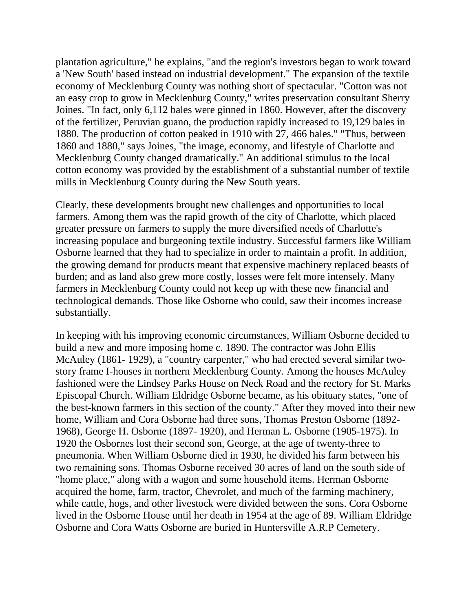plantation agriculture," he explains, "and the region's investors began to work toward a 'New South' based instead on industrial development." The expansion of the textile economy of Mecklenburg County was nothing short of spectacular. "Cotton was not an easy crop to grow in Mecklenburg County," writes preservation consultant Sherry Joines. "In fact, only 6,112 bales were ginned in 1860. However, after the discovery of the fertilizer, Peruvian guano, the production rapidly increased to 19,129 bales in 1880. The production of cotton peaked in 1910 with 27, 466 bales." "Thus, between 1860 and 1880," says Joines, "the image, economy, and lifestyle of Charlotte and Mecklenburg County changed dramatically." An additional stimulus to the local cotton economy was provided by the establishment of a substantial number of textile mills in Mecklenburg County during the New South years.

Clearly, these developments brought new challenges and opportunities to local farmers. Among them was the rapid growth of the city of Charlotte, which placed greater pressure on farmers to supply the more diversified needs of Charlotte's increasing populace and burgeoning textile industry. Successful farmers like William Osborne learned that they had to specialize in order to maintain a profit. In addition, the growing demand for products meant that expensive machinery replaced beasts of burden; and as land also grew more costly, losses were felt more intensely. Many farmers in Mecklenburg County could not keep up with these new financial and technological demands. Those like Osborne who could, saw their incomes increase substantially.

In keeping with his improving economic circumstances, William Osborne decided to build a new and more imposing home c. 1890. The contractor was John Ellis McAuley (1861- 1929), a "country carpenter," who had erected several similar twostory frame I-houses in northern Mecklenburg County. Among the houses McAuley fashioned were the Lindsey Parks House on Neck Road and the rectory for St. Marks Episcopal Church. William Eldridge Osborne became, as his obituary states, "one of the best-known farmers in this section of the county." After they moved into their new home, William and Cora Osborne had three sons, Thomas Preston Osborne (1892- 1968), George H. Osborne (1897- 1920), and Herman L. Osborne (1905-1975). In 1920 the Osbornes lost their second son, George, at the age of twenty-three to pneumonia. When William Osborne died in 1930, he divided his farm between his two remaining sons. Thomas Osborne received 30 acres of land on the south side of "home place," along with a wagon and some household items. Herman Osborne acquired the home, farm, tractor, Chevrolet, and much of the farming machinery, while cattle, hogs, and other livestock were divided between the sons. Cora Osborne lived in the Osborne House until her death in 1954 at the age of 89. William Eldridge Osborne and Cora Watts Osborne are buried in Huntersville A.R.P Cemetery.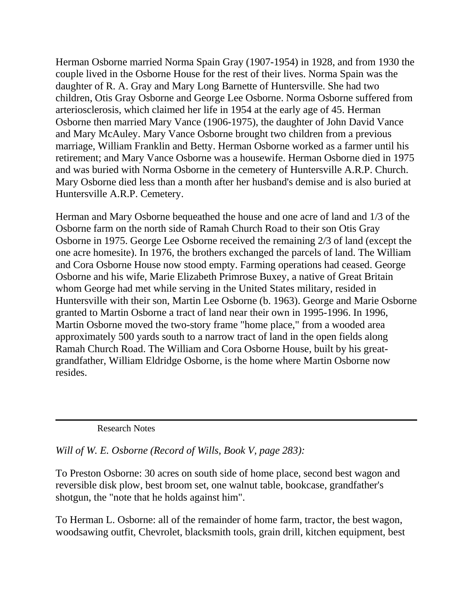Herman Osborne married Norma Spain Gray (1907-1954) in 1928, and from 1930 the couple lived in the Osborne House for the rest of their lives. Norma Spain was the daughter of R. A. Gray and Mary Long Barnette of Huntersville. She had two children, Otis Gray Osborne and George Lee Osborne. Norma Osborne suffered from arteriosclerosis, which claimed her life in 1954 at the early age of 45. Herman Osborne then married Mary Vance (1906-1975), the daughter of John David Vance and Mary McAuley. Mary Vance Osborne brought two children from a previous marriage, William Franklin and Betty. Herman Osborne worked as a farmer until his retirement; and Mary Vance Osborne was a housewife. Herman Osborne died in 1975 and was buried with Norma Osborne in the cemetery of Huntersville A.R.P. Church. Mary Osborne died less than a month after her husband's demise and is also buried at Huntersville A.R.P. Cemetery.

Herman and Mary Osborne bequeathed the house and one acre of land and 1/3 of the Osborne farm on the north side of Ramah Church Road to their son Otis Gray Osborne in 1975. George Lee Osborne received the remaining 2/3 of land (except the one acre homesite). In 1976, the brothers exchanged the parcels of land. The William and Cora Osborne House now stood empty. Farming operations had ceased. George Osborne and his wife, Marie Elizabeth Primrose Buxey, a native of Great Britain whom George had met while serving in the United States military, resided in Huntersville with their son, Martin Lee Osborne (b. 1963). George and Marie Osborne granted to Martin Osborne a tract of land near their own in 1995-1996. In 1996, Martin Osborne moved the two-story frame "home place," from a wooded area approximately 500 yards south to a narrow tract of land in the open fields along Ramah Church Road. The William and Cora Osborne House, built by his greatgrandfather, William Eldridge Osborne, is the home where Martin Osborne now resides.

### Research Notes

*Will of W. E. Osborne (Record of Wills, Book V, page 283):*

To Preston Osborne: 30 acres on south side of home place, second best wagon and reversible disk plow, best broom set, one walnut table, bookcase, grandfather's shotgun, the "note that he holds against him".

To Herman L. Osborne: all of the remainder of home farm, tractor, the best wagon, woodsawing outfit, Chevrolet, blacksmith tools, grain drill, kitchen equipment, best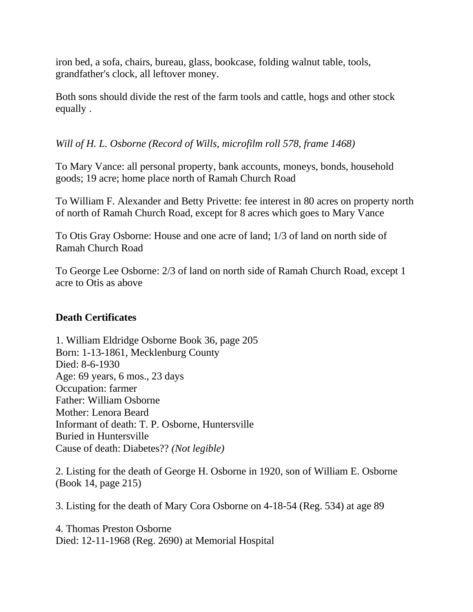iron bed, a sofa, chairs, bureau, glass, bookcase, folding walnut table, tools, grandfather's clock, all leftover money.

Both sons should divide the rest of the farm tools and cattle, hogs and other stock equally .

# *Will of H. L. Osborne (Record of Wills, microfilm roll 578, frame 1468)*

To Mary Vance: all personal property, bank accounts, moneys, bonds, household goods; 19 acre; home place north of Ramah Church Road

To William F. Alexander and Betty Privette: fee interest in 80 acres on property north of north of Ramah Church Road, except for 8 acres which goes to Mary Vance

To Otis Gray Osborne: House and one acre of land; 1/3 of land on north side of Ramah Church Road

To George Lee Osborne: 2/3 of land on north side of Ramah Church Road, except 1 acre to Otis as above

# **Death Certificates**

1. William Eldridge Osborne Book 36, page 205 Born: 1-13-1861, Mecklenburg County Died: 8-6-1930 Age: 69 years, 6 mos., 23 days Occupation: farmer Father: William Osborne Mother: Lenora Beard Informant of death: T. P. Osborne, Huntersville Buried in Huntersville Cause of death: Diabetes?? *(Not legible)*

2. Listing for the death of George H. Osborne in 1920, son of William E. Osborne (Book 14, page 215)

3. Listing for the death of Mary Cora Osborne on 4-18-54 (Reg. 534) at age 89

4. Thomas Preston Osborne Died: 12-11-1968 (Reg. 2690) at Memorial Hospital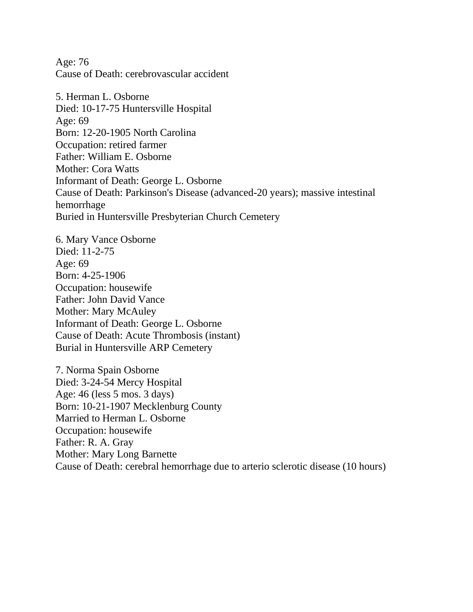Age: 76 Cause of Death: cerebrovascular accident

5. Herman L. Osborne Died: 10-17-75 Huntersville Hospital Age: 69 Born: 12-20-1905 North Carolina Occupation: retired farmer Father: William E. Osborne Mother: Cora Watts Informant of Death: George L. Osborne Cause of Death: Parkinson's Disease (advanced-20 years); massive intestinal hemorrhage Buried in Huntersville Presbyterian Church Cemetery

6. Mary Vance Osborne Died: 11-2-75 Age: 69 Born: 4-25-1906 Occupation: housewife Father: John David Vance Mother: Mary McAuley Informant of Death: George L. Osborne Cause of Death: Acute Thrombosis (instant) Burial in Huntersville ARP Cemetery

7. Norma Spain Osborne Died: 3-24-54 Mercy Hospital Age: 46 (less 5 mos. 3 days) Born: 10-21-1907 Mecklenburg County Married to Herman L. Osborne Occupation: housewife Father: R. A. Gray Mother: Mary Long Barnette Cause of Death: cerebral hemorrhage due to arterio sclerotic disease (10 hours)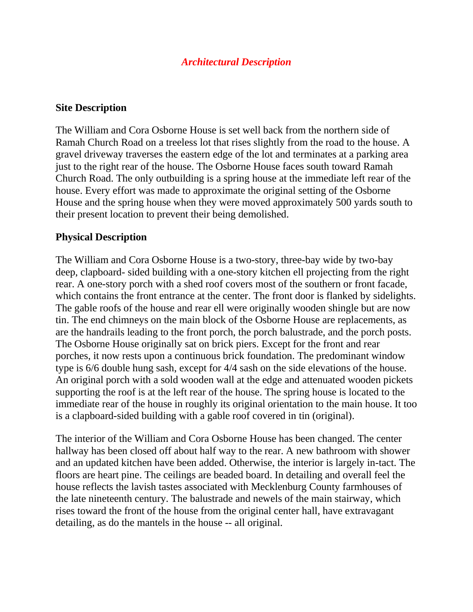## *Architectural Description*

### **Site Description**

The William and Cora Osborne House is set well back from the northern side of Ramah Church Road on a treeless lot that rises slightly from the road to the house. A gravel driveway traverses the eastern edge of the lot and terminates at a parking area just to the right rear of the house. The Osborne House faces south toward Ramah Church Road. The only outbuilding is a spring house at the immediate left rear of the house. Every effort was made to approximate the original setting of the Osborne House and the spring house when they were moved approximately 500 yards south to their present location to prevent their being demolished.

### **Physical Description**

The William and Cora Osborne House is a two-story, three-bay wide by two-bay deep, clapboard- sided building with a one-story kitchen ell projecting from the right rear. A one-story porch with a shed roof covers most of the southern or front facade, which contains the front entrance at the center. The front door is flanked by sidelights. The gable roofs of the house and rear ell were originally wooden shingle but are now tin. The end chimneys on the main block of the Osborne House are replacements, as are the handrails leading to the front porch, the porch balustrade, and the porch posts. The Osborne House originally sat on brick piers. Except for the front and rear porches, it now rests upon a continuous brick foundation. The predominant window type is 6/6 double hung sash, except for 4/4 sash on the side elevations of the house. An original porch with a sold wooden wall at the edge and attenuated wooden pickets supporting the roof is at the left rear of the house. The spring house is located to the immediate rear of the house in roughly its original orientation to the main house. It too is a clapboard-sided building with a gable roof covered in tin (original).

The interior of the William and Cora Osborne House has been changed. The center hallway has been closed off about half way to the rear. A new bathroom with shower and an updated kitchen have been added. Otherwise, the interior is largely in-tact. The floors are heart pine. The ceilings are beaded board. In detailing and overall feel the house reflects the lavish tastes associated with Mecklenburg County farmhouses of the late nineteenth century. The balustrade and newels of the main stairway, which rises toward the front of the house from the original center hall, have extravagant detailing, as do the mantels in the house -- all original.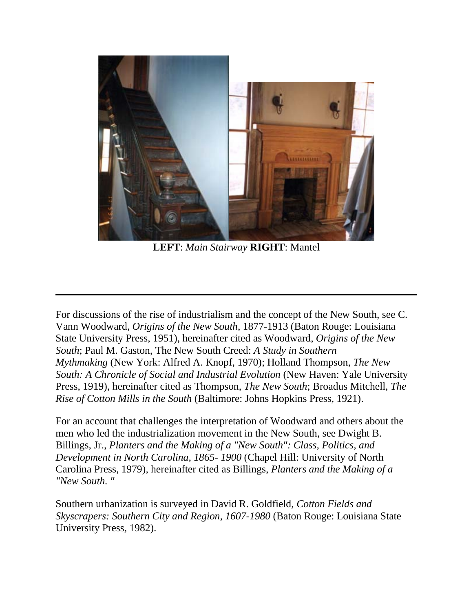

**LEFT**: *Main Stairway* **RIGHT**: Mantel

For discussions of the rise of industrialism and the concept of the New South, see C. Vann Woodward, *Origins of the New South*, 1877-1913 (Baton Rouge: Louisiana State University Press, 1951), hereinafter cited as Woodward, *Origins of the New South*; Paul M. Gaston, The New South Creed: *A Study in Southern Mythmaking* (New York: Alfred A. Knopf, 1970); Holland Thompson, *The New South: A Chronicle of Social and Industrial Evolution* (New Haven: Yale University Press, 1919), hereinafter cited as Thompson, *The New South*; Broadus Mitchell, *The Rise of Cotton Mills in the South* (Baltimore: Johns Hopkins Press, 1921).

For an account that challenges the interpretation of Woodward and others about the men who led the industrialization movement in the New South, see Dwight B. Billings, Jr., *Planters and the Making of a "New South": Class, Politics, and Development in North Carolina, 1865- 1900* (Chapel Hill: University of North Carolina Press, 1979), hereinafter cited as Billings, *Planters and the Making of a "New South. "*

Southern urbanization is surveyed in David R. Goldfield, *Cotton Fields and Skyscrapers: Southern City and Region, 1607-1980* (Baton Rouge: Louisiana State University Press, 1982).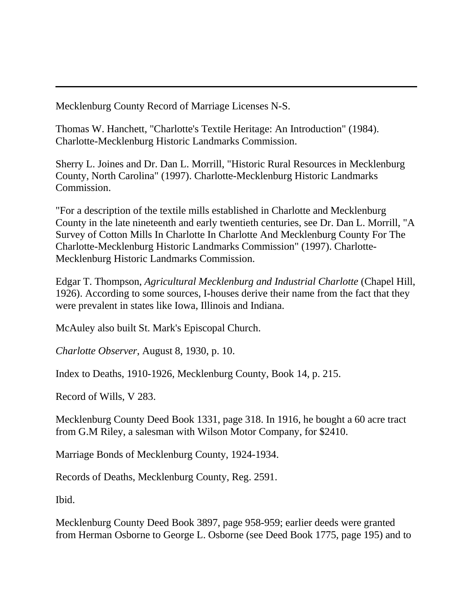Mecklenburg County Record of Marriage Licenses N-S.

Thomas W. Hanchett, "Charlotte's Textile Heritage: An Introduction" (1984). Charlotte-Mecklenburg Historic Landmarks Commission.

Sherry L. Joines and Dr. Dan L. Morrill, "Historic Rural Resources in Mecklenburg County, North Carolina" (1997). Charlotte-Mecklenburg Historic Landmarks Commission.

"For a description of the textile mills established in Charlotte and Mecklenburg County in the late nineteenth and early twentieth centuries, see Dr. Dan L. Morrill, "A Survey of Cotton Mills In Charlotte In Charlotte And Mecklenburg County For The Charlotte-Mecklenburg Historic Landmarks Commission" (1997). Charlotte-Mecklenburg Historic Landmarks Commission.

Edgar T. Thompson, *Agricultural Mecklenburg and Industrial Charlotte* (Chapel Hill, 1926). According to some sources, I-houses derive their name from the fact that they were prevalent in states like Iowa, Illinois and Indiana.

McAuley also built St. Mark's Episcopal Church.

*Charlotte Observer*, August 8, 1930, p. 10.

Index to Deaths, 1910-1926, Mecklenburg County, Book 14, p. 215.

Record of Wills, V 283.

Mecklenburg County Deed Book 1331, page 318. In 1916, he bought a 60 acre tract from G.M Riley, a salesman with Wilson Motor Company, for \$2410.

Marriage Bonds of Mecklenburg County, 1924-1934.

Records of Deaths, Mecklenburg County, Reg. 2591.

Ibid.

Mecklenburg County Deed Book 3897, page 958-959; earlier deeds were granted from Herman Osborne to George L. Osborne (see Deed Book 1775, page 195) and to